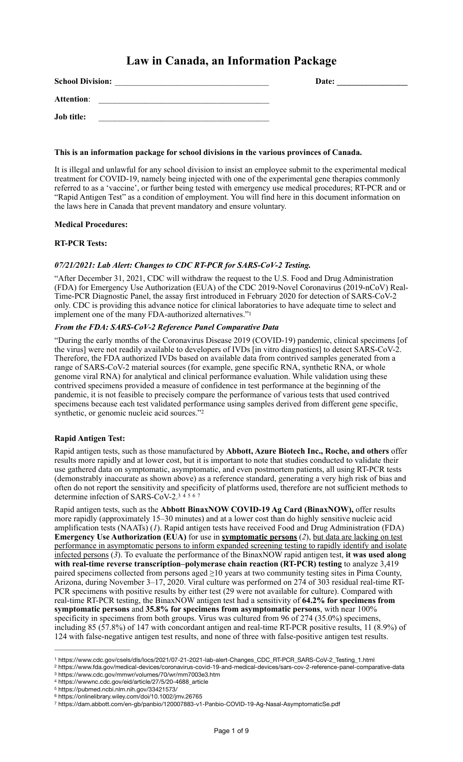# **Law in Canada, an Information Package**

| <b>School Division:</b> | Date: |
|-------------------------|-------|
| <b>Attention:</b>       |       |
| <b>Job title:</b>       |       |

### **This is an information package for school divisions in the various provinces of Canada.**

It is illegal and unlawful for any school division to insist an employee submit to the experimental medical treatment for COVID-19, namely being injected with one of the experimental gene therapies commonly referred to as a 'vaccine', or further being tested with emergency use medical procedures; RT-PCR and or "Rapid Antigen Test" as a condition of employment. You will find here in this document information on the laws here in Canada that prevent mandatory and ensure voluntary.

# **Medical Procedures:**

### **RT-PCR Tests:**

# *07/21/2021: Lab Alert: Changes to CDC RT-PCR for SARS-CoV-2 Testing.*

"After December 31, 2021, CDC will withdraw the request to the U.S. Food and Drug Administration (FDA) for Emergency Use Authorization (EUA) of the CDC 2019-Novel Coronavirus (2019-nCoV) Real-Time-PCR Diagnostic Panel, the assay first introduced in February 2020 for detection of SARS-CoV-2 only. CDC is providing this advance notice for clinical laboratories to have adequate time to select and implement one of the many FDA-authorized alternatives."<sup>[1](#page-0-0)</sup>

### <span id="page-0-7"></span>*From the FDA: SARS-CoV-2 Reference Panel Comparative Data*

"During the early months of the Coronavirus Disease 2019 (COVID-19) pandemic, clinical specimens [of the virus] were not readily available to developers of IVDs [in vitro diagnostics] to detect SARS-CoV-2. Therefore, the FDA authorized IVDs based on available data from contrived samples generated from a range of SARS-CoV-2 material sources (for example, gene specific RNA, synthetic RNA, or whole genome viral RNA) for analytical and clinical performance evaluation. While validation using these contrived specimens provided a measure of confidence in test performance at the beginning of the pandemic, it is not feasible to precisely compare the performance of various tests that used contrived specimens because each test validated performance using samples derived from different gene specific, synthetic, or genomic nucleic acid sources."[2](#page-0-1)

### <span id="page-0-8"></span>**Rapid Antigen Test:**

Rapid antigen tests, such as those manufactured by **Abbott, Azure Biotech Inc., Roche, and others** offer results more rapidly and at lower cost, but it is important to note that studies conducted to validate their use gathered data on symptomatic, asymptomatic, and even postmortem patients, all using RT-PCR tests (demonstrably inaccurate as shown above) as a reference standard, generating a very high risk of bias and often do not report the sensitivity and specificity of platforms used, therefore are not sufficient methods to determine infection of SARS-CoV-2[.3](#page-0-2)  $\frac{1}{4}$  $\frac{1}{4}$  $\frac{1}{4}$  [5](#page-0-4) [6](#page-0-5) [7](#page-0-6)

<span id="page-0-13"></span><span id="page-0-12"></span><span id="page-0-11"></span><span id="page-0-10"></span><span id="page-0-9"></span>Rapid antigen tests, such as the **Abbott BinaxNOW COVID-19 Ag Card (BinaxNOW),** offer results more rapidly (approximately 15–30 minutes) and at a lower cost than do highly sensitive nucleic acid amplification tests (NAATs) (*1*). Rapid antigen tests have received Food and Drug Administration (FDA) **Emergency Use Authorization (EUA)** for use in **symptomatic persons** (*2*), but data are lacking on test performance in asymptomatic persons to inform expanded screening testing to rapidly identify and isolate infected persons (*3*). To evaluate the performance of the BinaxNOW rapid antigen test, **it was used along with real-time reverse transcription–polymerase chain reaction (RT-PCR) testing** to analyze 3,419 paired specimens collected from persons aged ≥10 years at two community testing sites in Pima County, Arizona, during November 3–17, 2020. Viral culture was performed on 274 of 303 residual real-time RT-PCR specimens with positive results by either test (29 were not available for culture). Compared with real-time RT-PCR testing, the BinaxNOW antigen test had a sensitivity of **64.2% for specimens from symptomatic persons** and **35.8% for specimens from asymptomatic persons**, with near 100% specificity in specimens from both groups. Virus was cultured from 96 of 274 (35.0%) specimens, including 85 (57.8%) of 147 with concordant antigen and real-time RT-PCR positive results, 11 (8.9%) of 124 with false-negative antigen test results, and none of three with false-positive antigen test results.

<span id="page-0-1"></span>[2](#page-0-8) https://www.fda.gov/medical-devices/coronavirus-covid-19-and-medical-devices/sars-cov-2-reference-panel-comparative-data

<span id="page-0-0"></span>https://www.cdc.gov/csels/dls/locs/2021/07-21-2021-lab-alert-Changes\_CDC\_RT-PCR\_SARS-CoV-2\_Testing\_1.html [1](#page-0-7)

<span id="page-0-2"></span>[<sup>3</sup>](#page-0-9) https://www.cdc.gov/mmwr/volumes/70/wr/mm7003e3.htm

<span id="page-0-3"></span>[<sup>4</sup>](#page-0-10) https://wwwnc.cdc.gov/eid/article/27/5/20-4688\_article

<span id="page-0-4"></span>https://pubmed.ncbi.nlm.nih.gov/33421573/ [5](#page-0-11)

<span id="page-0-5"></span>[<sup>6</sup>](#page-0-12) https://onlinelibrary.wiley.com/doi/10.1002/jmv.26765

<span id="page-0-6"></span>https://dam.abbott.com/en-gb/panbio/120007883-v1-Panbio-COVID-19-Ag-Nasal-AsymptomaticSe.pdf [7](#page-0-13)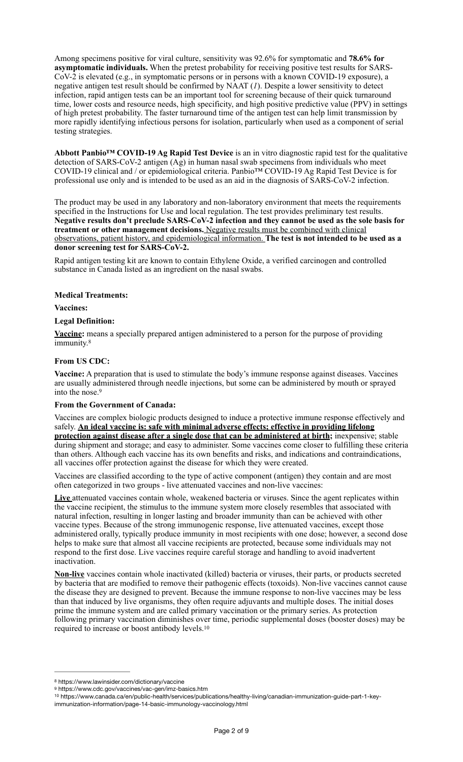Among specimens positive for viral culture, sensitivity was 92.6% for symptomatic and **78.6% for asymptomatic individuals.** When the pretest probability for receiving positive test results for SARS-CoV-2 is elevated (e.g., in symptomatic persons or in persons with a known COVID-19 exposure), a negative antigen test result should be confirmed by NAAT (*1*). Despite a lower sensitivity to detect infection, rapid antigen tests can be an important tool for screening because of their quick turnaround time, lower costs and resource needs, high specificity, and high positive predictive value (PPV) in settings of high pretest probability. The faster turnaround time of the antigen test can help limit transmission by more rapidly identifying infectious persons for isolation, particularly when used as a component of serial testing strategies.

**Abbott Panbio™ COVID-19 Ag Rapid Test Device** is an in vitro diagnostic rapid test for the qualitative detection of SARS-CoV-2 antigen (Ag) in human nasal swab specimens from individuals who meet COVID-19 clinical and / or epidemiological criteria. Panbio™ COVID-19 Ag Rapid Test Device is for professional use only and is intended to be used as an aid in the diagnosis of SARS-CoV-2 infection.

The product may be used in any laboratory and non-laboratory environment that meets the requirements specified in the Instructions for Use and local regulation. The test provides preliminary test results. **Negative results don't preclude SARS-CoV-2 infection and they cannot be used as the sole basis for treatment or other management decisions.** Negative results must be combined with clinical observations, patient history, and epidemiological information. **The test is not intended to be used as a donor screening test for SARS-CoV-2.**

Rapid antigen testing kit are known to contain Ethylene Oxide, a verified carcinogen and controlled substance in Canada listed as an ingredient on the nasal swabs.

### **Medical Treatments:**

**Vaccines:**

### **Legal Definition:**

<span id="page-1-3"></span>**[Vaccine](https://www.lawinsider.com/dictionary/vaccine):** means a specially prepared antigen administered to a person for the purpose of providing immunity.<sup>[8](#page-1-0)</sup>

# **From US CDC:**

**Vaccine:** A preparation that is used to stimulate the body's immune response against diseases. Vaccines are usually administered through needle injections, but some can be administered by mouth or sprayed into the nose.[9](#page-1-1)

# <span id="page-1-4"></span>**From the Government of Canada:**

Vaccines are complex biologic products designed to induce a protective immune response effectively and safely. **An ideal vaccine is: safe with minimal adverse effects; effective in providing lifelong protection against disease after a single dose that can be administered at birth;** inexpensive; stable during shipment and storage; and easy to administer. Some vaccines come closer to fulfilling these criteria than others. Although each vaccine has its own benefits and risks, and indications and contraindications, all vaccines offer protection against the disease for which they were created.

Vaccines are classified according to the type of active component (antigen) they contain and are most often categorized in two groups - live attenuated vaccines and non-live vaccines:

**Live** attenuated vaccines contain whole, weakened bacteria or viruses. Since the agent replicates within the vaccine recipient, the stimulus to the immune system more closely resembles that associated with natural infection, resulting in longer lasting and broader immunity than can be achieved with other vaccine types. Because of the strong immunogenic response, live attenuated vaccines, except those administered orally, typically produce immunity in most recipients with one dose; however, a second dose helps to make sure that almost all vaccine recipients are protected, because some individuals may not respond to the first dose. Live vaccines require careful storage and handling to avoid inadvertent inactivation.

**Non-live** vaccines contain whole inactivated (killed) bacteria or viruses, their parts, or products secreted by bacteria that are modified to remove their pathogenic effects (toxoids). Non-live vaccines cannot cause the disease they are designed to prevent. Because the immune response to non-live vaccines may be less than that induced by live organisms, they often require adjuvants and multiple doses. The initial doses prime the immune system and are called primary vaccination or the primary series. As protection following primary vaccination diminishes over time, periodic supplemental doses (booster doses) may be required to increase or boost antibody levels.[10](#page-1-2)

<span id="page-1-5"></span><span id="page-1-0"></span>[<sup>8</sup>](#page-1-3) https://www.lawinsider.com/dictionary/vaccine

<span id="page-1-1"></span>[<sup>9</sup>](#page-1-4) https://www.cdc.gov/vaccines/vac-gen/imz-basics.htm

<span id="page-1-2"></span><sup>&</sup>lt;sup>[10](#page-1-5)</sup> https://www.canada.ca/en/public-health/services/publications/healthy-living/canadian-immunization-guide-part-1-keyimmunization-information/page-14-basic-immunology-vaccinology.html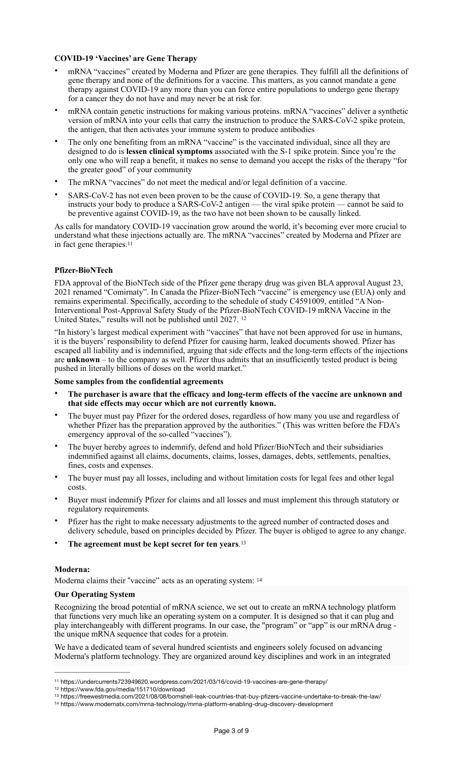# **COVID-19 'Vaccines' are Gene Therapy**

- mRNA "vaccines" created by Moderna and Pfizer are gene therapies. They fulfill all the definitions of gene therapy and none of the definitions for a vaccine. This matters, as you cannot mandate a gene therapy against COVID-19 any more than you can force entire populations to undergo gene therapy for a cancer they do not have and may never be at risk for.
- mRNA contain genetic instructions for making various proteins. mRNA "vaccines" deliver a synthetic version of mRNA into your cells that carry the instruction to produce the SARS-CoV-2 spike protein, the antigen, that then activates your immune system to produce antibodies
- The only one benefiting from an mRNA "vaccine" is the vaccinated individual, since all they are designed to do is **lessen clinical symptoms** associated with the S-1 spike protein. Since you're the only one who will reap a benefit, it makes no sense to demand you accept the risks of the therapy "for the greater good" of your community
- The mRNA "vaccines" do not meet the medical and/or legal definition of a vaccine.
- SARS-CoV-2 has not even been proven to be the cause of COVID-19. So, a gene therapy that instructs your body to produce a SARS-CoV-2 antigen — the viral spike protein — cannot be said to be preventive against COVID-19, as the two have not been shown to be causally linked.

<span id="page-2-4"></span>As calls for mandatory COVID-19 vaccination grow around the world, it's becoming ever more crucial to understand what these injections actually are. The mRNA "vaccines" created by Moderna and Pfizer are in fact gene therapies[.11](#page-2-0)

# **Pfizer-BioNTech**

FDA approval of the BioNTech side of the Pfizer gene therapy drug was given BLA approval August 23, 2021 renamed "Comirnaty". In Canada the Pfizer-BioNTech "vaccine" is emergency use (EUA) only and remains experimental. Specifically, according to the schedule of study C4591009, entitled "A Non-Interventional Post-Approval Safety Study of the Pfizer-BioNTech COVID-19 mRNA Vaccine in the United States," results will not be published until 2027. [12](#page-2-1)

<span id="page-2-5"></span>"In history's largest medical experiment with "vaccines" that have not been approved for use in humans, it is the buyers' responsibility to defend Pfizer for causing harm, leaked documents showed. Pfizer has escaped all liability and is indemnified, arguing that side effects and the long-term effects of the injections are **unknown** – to the company as well. Pfizer thus admits that an insufficiently tested product is being pushed in literally billions of doses on the world market."

# **Some samples from the confidential agreements**

- **The purchaser is aware that the efficacy and long-term effects of the vaccine are unknown and that side effects may occur which are not currently known.**
- The buyer must pay Pfizer for the ordered doses, regardless of how many you use and regardless of whether Pfizer has the preparation approved by the authorities." (This was written before the FDA's emergency approval of the so-called "vaccines").
- The buyer hereby agrees to indemnify, defend and hold Pfizer/BioNTech and their subsidiaries indemnified against all claims, documents, claims, losses, damages, debts, settlements, penalties, fines, costs and expenses.
- The buyer must pay all losses, including and without limitation costs for legal fees and other legal costs.
- Buyer must indemnify Pfizer for claims and all losses and must implement this through statutory or regulatory requirements.
- Pfizer has the right to make necessary adjustments to the agreed number of contracted doses and delivery schedule, based on principles decided by Pfizer. The buyer is obliged to agree to any change.
- <span id="page-2-6"></span>• **The agreement must be kept secret for ten years**[.13](#page-2-2)

# <span id="page-2-7"></span>**Moderna:**

Moderna claims their "vaccine" acts as an operating system: [14](#page-2-3)

# **Our Operating System**

Recognizing the broad potential of mRNA science, we set out to create an mRNA technology platform that functions very much like an operating system on a computer. It is designed so that it can plug and play interchangeably with different programs. In our case, the "program" or "app" is our mRNA drug the unique mRNA sequence that codes for a protein.

We have a dedicated team of several hundred scientists and engineers solely focused on advancing Moderna's platform technology. They are organized around key disciplines and work in an integrated

<span id="page-2-0"></span>https://undercurrents723949620.wordpress.com/2021/03/16/covid-19-vaccines-are-gene-therapy/ [11](#page-2-4)

<span id="page-2-1"></span>[<sup>12</sup>](#page-2-5) https://www.fda.gov/media/151710/download

<span id="page-2-2"></span>https://freewestmedia.com/2021/08/08/bomshell-leak-countries-that-buy-pfizers-vaccine-undertake-to-break-the-law/ [13](#page-2-6)

<span id="page-2-3"></span>https://www.modernatx.com/mrna-technology/mrna-platform-enabling-drug-discovery-development [14](#page-2-7)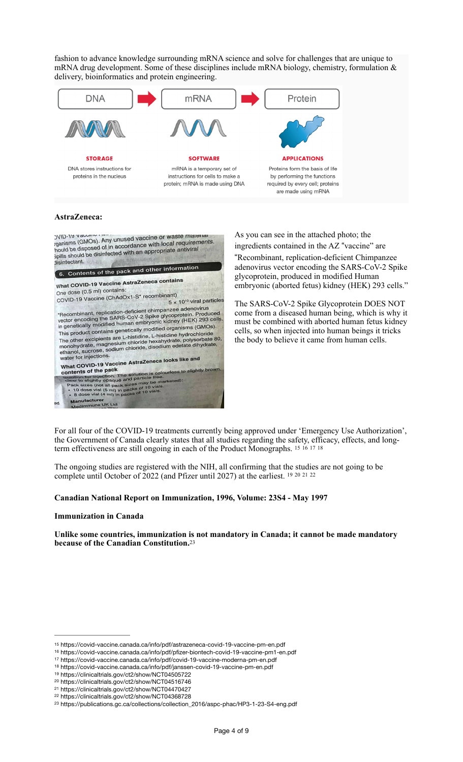fashion to advance knowledge surrounding mRNA science and solve for challenges that are unique to mRNA drug development. Some of these disciplines include mRNA biology, chemistry, formulation  $\&$ delivery, bioinformatics and protein engineering.



### **AstraZeneca:**

DVID-19 vacuum .<br>rganisms (GMOs). Any unused vaccine or waste material bylib-19 vacuum and vaccine or waste material<br>iganisms (GMOs). Any unused vaccine or waste material<br>hould be disposed of in accordance with local requirements. bould be disposed of in accordance with local requirements<br>spills should be disinfected with an appropriate antiviral disinfectant. 6. Contents of the pack and other information What COVID-19 Vaccine AstraZeneca contains One dose (0.5 ml) contains: One dose (0.5 mi) contains.<br>COVID-19 Vaccine (ChAdOx1-S\* recombinant)  $\frac{1}{5}$  x 10<sup>10</sup> viral particles 5 x 10<sup>10</sup> viral particles<br>
"Recombinant, replication-deficient chimpanzee adenovirus<br>
vector encoding the SARS-GoV-2 Spike glycoprotein. Produced<br>
in genetically modified human embryonic kidney (HEK) 293 cells.<br>
This prod in genetically modified infinite interiors.<br>This product contains genetically modified organisms (GMOs).<br>The other excipients are L-histidine, L-histidine hydrochloride<br>monohydrate, magnesium chloride hexahydrate, polysorb water for injections.<br>What COVID-19 Vaccine AstraZeneca looks like and<br>What COVID-19 Vaccine AstraZeneca looks like and **hat COVID-10 Pack**<br>
Internal pack<br>
metrics of the pack<br>
sexution for imaged and particle free.<br>
Hence is estightly opaque and particle free.<br>
Pack sizes (not all pack sizes may be marketed):<br>
Pack sizes (not all pack siz contents of the pack Paci Manufacturer<br>Medimmune UK Ltd

As you can see in the attached photo; the

ingredients contained in the AZ "vaccine" are !Recombinant, replication-deficient Chimpanzee adenovirus vector encoding the SARS-CoV-2 Spike glycoprotein, produced in modified Human embryonic (aborted fetus) kidney (HEK) 293 cells."

<span id="page-3-16"></span><span id="page-3-15"></span><span id="page-3-14"></span><span id="page-3-13"></span><span id="page-3-12"></span><span id="page-3-11"></span><span id="page-3-10"></span><span id="page-3-9"></span>The SARS-CoV-2 Spike Glycoprotein DOES NOT come from a diseased human being, which is why it must be combined with aborted human fetus kidney cells, so when injected into human beings it tricks the body to believe it came from human cells.

For all four of the COVID-19 treatments currently being approved under 'Emergency Use Authorization', the Government of Canada clearly states that all studies regarding the safety, efficacy, effects, and longterm effectiveness are still ongoing in each of the Product Monographs. [15](#page-3-0) [16](#page-3-1) [17](#page-3-2) [18](#page-3-3)

The ongoing studies are registered with the NIH, all confirming that the studies are not going to be complete until October of 2022 (and Pfizer until 2027) at the earliest. [19](#page-3-4) [20](#page-3-5) [21](#page-3-6) [22](#page-3-7)

### **Canadian National Report on Immunization, 1996, Volume: 23S4 - May 1997**

#### **Immunization in Canada**

<span id="page-3-17"></span>**Unlike some countries, immunization is not mandatory in Canada; it cannot be made mandatory because of the Canadian Constitution.**[23](#page-3-8)

<span id="page-3-0"></span>[<sup>15</sup>](#page-3-9) https://covid-vaccine.canada.ca/info/pdf/astrazeneca-covid-19-vaccine-pm-en.pdf

<span id="page-3-1"></span>[<sup>16</sup>](#page-3-10) https://covid-vaccine.canada.ca/info/pdf/pfizer-biontech-covid-19-vaccine-pm1-en.pdf

<span id="page-3-2"></span>[<sup>17</sup>](#page-3-11) https://covid-vaccine.canada.ca/info/pdf/covid-19-vaccine-moderna-pm-en.pdf

<span id="page-3-3"></span>[<sup>18</sup>](#page-3-12) https://covid-vaccine.canada.ca/info/pdf/janssen-covid-19-vaccine-pm-en.pdf

<span id="page-3-4"></span>[<sup>19</sup>](#page-3-13) https://clinicaltrials.gov/ct2/show/NCT04505722

<span id="page-3-5"></span>[<sup>20</sup>](#page-3-14) https://clinicaltrials.gov/ct2/show/NCT04516746

<span id="page-3-6"></span>[<sup>21</sup>](#page-3-15) https://clinicaltrials.gov/ct2/show/NCT04470427 [22](#page-3-16) https://clinicaltrials.gov/ct2/show/NCT04368728

<span id="page-3-7"></span>

<span id="page-3-8"></span><sup>&</sup>lt;sup>[23](#page-3-17)</sup> https://publications.gc.ca/collections/collection\_2016/aspc-phac/HP3-1-23-S4-eng.pdf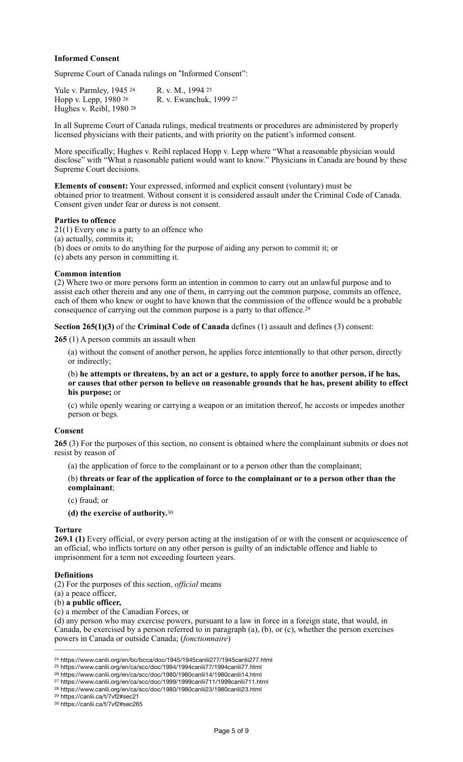# **Informed Consent**

Supreme Court of Canada rulings on "Informed Consent":

<span id="page-4-10"></span><span id="page-4-9"></span><span id="page-4-8"></span><span id="page-4-7"></span>Yulev. Parmley, 1945 <sup>[24](#page-4-0)</sup> R. v. M., 1994 <sup>[25](#page-4-1)</sup> Hoppv. Lepp, 1980 <sup>[26](#page-4-2)</sup> R. v. Ewanchuk, 1999 <sup>[27](#page-4-3)</sup> Hughes v. Reibl, 1980 [28](#page-4-4)

<span id="page-4-11"></span>In all Supreme Court of Canada rulings, medical treatments or procedures are administered by properly licensed physicians with their patients, and with priority on the patient's informed consent.

More specifically; Hughes v. Reibl replaced Hopp v. Lepp where "What a reasonable physician would disclose" with "What a reasonable patient would want to know." Physicians in Canada are bound by these Supreme Court decisions.

**Elements of consent:** Your expressed, informed and explicit consent (voluntary) must be obtained prior to treatment. Without consent it is considered assault under the Criminal Code of Canada. Consent given under fear or duress is not consent.

### **Parties to offence**

21(1) Every one is a party to an offence who

(a) actually, commits it;

(b) does or omits to do anything for the purpose of aiding any person to commit it; or (c) abets any person in committing it.

### **Common intention**

(2) Where two or more persons form an intention in common to carry out an unlawful purpose and to assist each other therein and any one of them, in carrying out the common purpose, commits an offence, each of them who knew or ought to have known that the commission of the offence would be a probable consequence of carrying out the common purpose is a party to that offence[.29](#page-4-5)

**Section 265(1)(3)** of the **Criminal Code of Canada** defines (1) assault and defines (3) consent:

**265** (1) A person commits an assault when

<span id="page-4-12"></span>(a) without the consent of another person, he applies force intentionally to that other person, directly or indirectly;

(b) **he attempts or threatens, by an act or a gesture, to apply force to another person, if he has, or causes that other person to believe on reasonable grounds that he has, present ability to effect his purpose;** or

(c) while openly wearing or carrying a weapon or an imitation thereof, he accosts or impedes another person or begs.

#### **Consent**

**265** (3) For the purposes of this section, no consent is obtained where the complainant submits or does not resist by reason of

(a) the application of force to the complainant or to a person other than the complainant;

# (b) **threats or fear of the application of force to the complainant or to a person other than the complainant**;

(c) fraud; or

<span id="page-4-13"></span>**(d) the exercise of authority.**[30](#page-4-6)

### **Torture**

**269.1 (1)** Every official, or every person acting at the instigation of or with the consent or acquiescence of an official, who inflicts torture on any other person is guilty of an indictable offence and liable to imprisonment for a term not exceeding fourteen years.

### **Definitions**

(2) For the purposes of this section, *official* means

- (a) a peace officer,
- (b) **a public officer,**

(c) a member of the Canadian Forces, or

(d) any person who may exercise powers, pursuant to a law in force in a foreign state, that would, in Canada, be exercised by a person referred to in paragraph (a), (b), or (c), whether the person exercises powers in Canada or outside Canada; (*fonctionnaire*)

- <span id="page-4-2"></span><sup>[26](#page-4-9)</sup> https://www.canlii.org/en/ca/scc/doc/1980/1980canlii14/1980canlii14.html
- <span id="page-4-3"></span>https://www.canlii.org/en/ca/scc/doc/1999/1999canlii711/1999canlii711.html [27](#page-4-10)
- <span id="page-4-4"></span><sup>[28](#page-4-11)</sup> https://www.canlii.org/en/ca/scc/doc/1980/1980canlii23/1980canlii23.html
- <span id="page-4-5"></span>[29](#page-4-12) https://canlii.ca/t/7vf2#sec21

<span id="page-4-0"></span><sup>&</sup>lt;sup>[24](#page-4-7)</sup> https://www.canlii.org/en/bc/bcca/doc/1945/1945canlii277/1945canlii277.html

<span id="page-4-1"></span><sup>&</sup>lt;sup>[25](#page-4-8)</sup> https://www.canlii.org/en/ca/scc/doc/1994/1994canlii77/1994canlii77.html

<span id="page-4-6"></span>[<sup>30</sup>](#page-4-13) https://canlii.ca/t/7vf2#sec265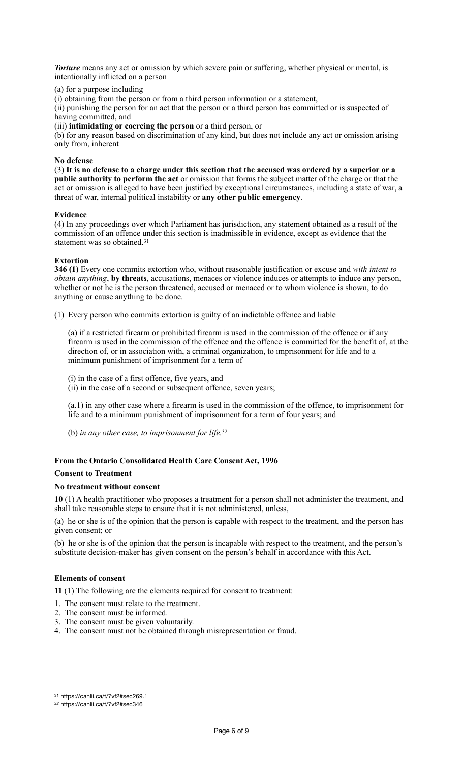*Torture* means any act or omission by which severe pain or suffering, whether physical or mental, is intentionally inflicted on a person

(a) for a purpose including

(i) obtaining from the person or from a third person information or a statement,

(ii) punishing the person for an act that the person or a third person has committed or is suspected of having committed, and

(iii) **intimidating or coercing the person** or a third person, or

(b) for any reason based on discrimination of any kind, but does not include any act or omission arising only from, inherent

### **No defense**

(3) **It is no defense to a charge under this section that the accused was ordered by a superior or a public authority to perform the act** or omission that forms the subject matter of the charge or that the act or omission is alleged to have been justified by exceptional circumstances, including a state of war, a threat of war, internal political instability or **any other public emergency**.

### **Evidence**

(4) In any proceedings over which Parliament has jurisdiction, any statement obtained as a result of the commission of an offence under this section is inadmissible in evidence, except as evidence that the statement was so obtained.[31](#page-5-0)

# <span id="page-5-2"></span>**Extortion**

**346 (1)** Every one commits extortion who, without reasonable justification or excuse and *with intent to obtain anything*, **by threats**, accusations, menaces or violence induces or attempts to induce any person, whether or not he is the person threatened, accused or menaced or to whom violence is shown, to do anything or cause anything to be done.

(1) Every person who commits extortion is guilty of an indictable offence and liable

(a) if a restricted firearm or prohibited firearm is used in the commission of the offence or if any firearm is used in the commission of the offence and the offence is committed for the benefit of, at the direction of, or in association with, a criminal organization, to imprisonment for life and to a minimum punishment of imprisonment for a term of

(i) in the case of a first offence, five years, and

(ii) in the case of a second or subsequent offence, seven years;

(a.1) in any other case where a firearm is used in the commission of the offence, to imprisonment for life and to a minimum punishment of imprisonment for a term of four years; and

<span id="page-5-3"></span>(b) *in any other case, to imprisonment for life.*[32](#page-5-1)

# **From the Ontario Consolidated Health Care Consent Act, 1996 Consent to Treatment**

# **No treatment without consent**

**10** (1) A health practitioner who proposes a treatment for a person shall not administer the treatment, and shall take reasonable steps to ensure that it is not administered, unless,

(a) he or she is of the opinion that the person is capable with respect to the treatment, and the person has given consent; or

(b) he or she is of the opinion that the person is incapable with respect to the treatment, and the person's substitute decision-maker has given consent on the person's behalf in accordance with this Act.

# **Elements of consent**

**11** (1) The following are the elements required for consent to treatment:

- 1. The consent must relate to the treatment.
- 2. The consent must be informed.
- 3. The consent must be given voluntarily.
- 4. The consent must not be obtained through misrepresentation or fraud.

<span id="page-5-0"></span>[<sup>31</sup>](#page-5-2) https://canlii.ca/t/7vf2#sec269.1

<span id="page-5-1"></span>*[<sup>32</sup>](#page-5-3)* https://canlii.ca/t/7vf2#sec346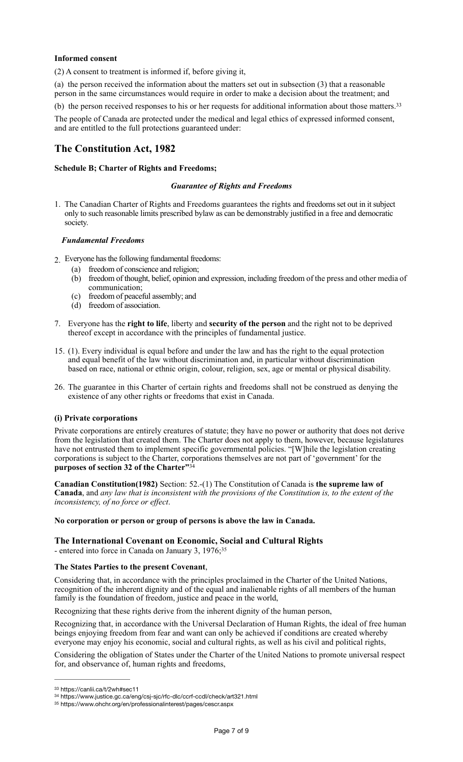# **Informed consent**

(2) A consent to treatment is informed if, before giving it,

(a) the person received the information about the matters set out in subsection (3) that a reasonable person in the same circumstances would require in order to make a decision about the treatment; and

(b) the person received responses to his or her requests for additional information about those matters.[33](#page-6-0)

The people of Canada are protected under the medical and legal ethics of expressed informed consent, and are entitled to the full protections guaranteed under:

# **The Constitution Act, 1982**

# **Schedule B; Charter of Rights and Freedoms;**

### <span id="page-6-3"></span>*Guarantee of Rights and Freedoms*

1. The Canadian Charter of Rights and Freedoms guarantees the rights and freedoms set out in it subject only to such reasonable limits prescribed bylaw as can be demonstrably justified in a free and democratic society.

# *Fundamental Freedoms*

- 2. Everyone has the following fundamental freedoms:
	- (a) freedom of conscience and religion;
	- (b) freedom of thought, belief, opinion and expression, including freedom of the press and other media of communication;
	- (c) freedom of peaceful assembly; and
	- (d) freedom of association.
- 7. Everyone has the **right to life**, liberty and **security of the person** and the right not to be deprived thereof except in accordance with the principles of fundamental justice.
- 15. (1). Every individual is equal before and under the law and has the right to the equal protection and equal benefit of the law without discrimination and, in particular without discrimination based on race, national or ethnic origin, colour, religion, sex, age or mental or physical disability.
- 26. The guarantee in this Charter of certain rights and freedoms shall not be construed as denying the existence of any other rights or freedoms that exist in Canada.

# **(i) Private corporations**

Private corporations are entirely creatures of statute; they have no power or authority that does not derive from the legislation that created them. The Charter does not apply to them, however, because legislatures have not entrusted them to implement specific governmental policies. "[W]hile the legislation creating corporations is subject to the Charter, corporations themselves are not part of 'government' for the **purposes of section 32 of the Charter"**[34](#page-6-1)

<span id="page-6-4"></span>**Canadian Constitution(1982)** Section: 52.-(1) The Constitution of Canada is **the supreme law of Canada**, and *any law that is inconsistent with the provisions of the Constitution is, to the extent of the inconsistency, of no force or effect*.

### **No corporation or person or group of persons is above the law in Canada.**

# <span id="page-6-5"></span>**The International Covenant on Economic, Social and Cultural Rights** - entered into force in Canada on January 3, 1976;[35](#page-6-2)

# **The States Parties to the present Covenant**,

Considering that, in accordance with the principles proclaimed in the Charter of the United Nations, recognition of the inherent dignity and of the equal and inalienable rights of all members of the human family is the foundation of freedom, justice and peace in the world,

Recognizing that these rights derive from the inherent dignity of the human person,

Recognizing that, in accordance with the Universal Declaration of Human Rights, the ideal of free human beings enjoying freedom from fear and want can only be achieved if conditions are created whereby everyone may enjoy his economic, social and cultural rights, as well as his civil and political rights,

Considering the obligation of States under the Charter of the United Nations to promote universal respect for, and observance of, human rights and freedoms,

<span id="page-6-0"></span>[<sup>33</sup>](#page-6-3) https://canlii.ca/t/2wh#sec11

<span id="page-6-1"></span>https://www.justice.gc.ca/eng/csj-sjc/rfc-dlc/ccrf-ccdl/check/art321.html [34](#page-6-4)

<span id="page-6-2"></span>[<sup>35</sup>](#page-6-5) https://www.ohchr.org/en/professionalinterest/pages/cescr.aspx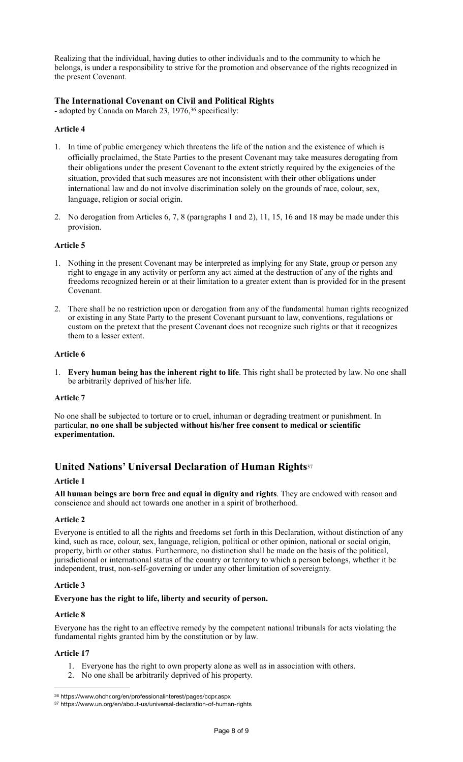Realizing that the individual, having duties to other individuals and to the community to which he belongs, is under a responsibility to strive for the promotion and observance of the rights recognized in the present Covenant.

# **The International Covenant on Civil and Political Rights**

<span id="page-7-2"></span>- adopted by Canada on March 23, 1976,<sup>36</sup> specifically:

# **Article 4**

- 1. In time of public emergency which threatens the life of the nation and the existence of which is officially proclaimed, the State Parties to the present Covenant may take measures derogating from their obligations under the present Covenant to the extent strictly required by the exigencies of the situation, provided that such measures are not inconsistent with their other obligations under international law and do not involve discrimination solely on the grounds of race, colour, sex, language, religion or social origin.
- 2. No derogation from Articles 6, 7, 8 (paragraphs 1 and 2), 11, 15, 16 and 18 may be made under this provision.

# **Article 5**

- 1. Nothing in the present Covenant may be interpreted as implying for any State, group or person any right to engage in any activity or perform any act aimed at the destruction of any of the rights and freedoms recognized herein or at their limitation to a greater extent than is provided for in the present Covenant.
- 2. There shall be no restriction upon or derogation from any of the fundamental human rights recognized or existing in any State Party to the present Covenant pursuant to law, conventions, regulations or custom on the pretext that the present Covenant does not recognize such rights or that it recognizes them to a lesser extent.

# **Article 6**

1. **Every human being has the inherent right to life**. This right shall be protected by law. No one shall be arbitrarily deprived of his/her life.

# **Article 7**

No one shall be subjected to torture or to cruel, inhuman or degrading treatment or punishment. In particular, **no one shall be subjected without his/her free consent to medical or scientific experimentation.**

# <span id="page-7-3"></span>**United Nations' Universal Declaration of Human Rights**[37](#page-7-1)

### **Article 1**

**All human beings are born free and equal in dignity and rights**. They are endowed with reason and conscience and should act towards one another in a spirit of brotherhood.

# **Article 2**

Everyone is entitled to all the rights and freedoms set forth in this Declaration, without distinction of any kind, such as race, colour, sex, language, religion, political or other opinion, national or social origin, property, birth or other status. Furthermore, no distinction shall be made on the basis of the political, jurisdictional or international status of the country or territory to which a person belongs, whether it be independent, trust, non-self-governing or under any other limitation of sovereignty.

# **Article 3**

# **Everyone has the right to life, liberty and security of person.**

### **Article 8**

Everyone has the right to an effective remedy by the competent national tribunals for acts violating the fundamental rights granted him by the constitution or by law.

# **Article 17**

- 1. Everyone has the right to own property alone as well as in association with others.
- 2. No one shall be arbitrarily deprived of his property.

<span id="page-7-0"></span>[<sup>36</sup>](#page-7-2) https://www.ohchr.org/en/professionalinterest/pages/ccpr.aspx

<span id="page-7-1"></span>[<sup>37</sup>](#page-7-3) https://www.un.org/en/about-us/universal-declaration-of-human-rights